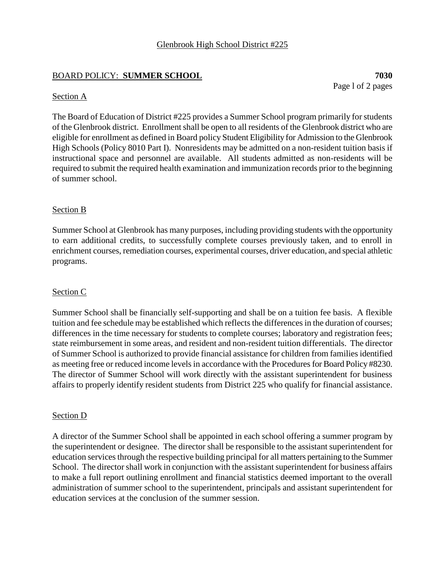# BOARD POLICY: **SUMMER SCHOOL 7030**

Page l of 2 pages

### Section A

The Board of Education of District #225 provides a Summer School program primarily for students of the Glenbrook district. Enrollment shall be open to all residents of the Glenbrook district who are eligible for enrollment as defined in Board policy Student Eligibility for Admission to the Glenbrook High Schools (Policy 8010 Part I). Nonresidents may be admitted on a non-resident tuition basis if instructional space and personnel are available. All students admitted as non-residents will be required to submit the required health examination and immunization records prior to the beginning of summer school.

### Section B

Summer School at Glenbrook has many purposes, including providing students with the opportunity to earn additional credits, to successfully complete courses previously taken, and to enroll in enrichment courses, remediation courses, experimental courses, driver education, and special athletic programs.

## Section C

Summer School shall be financially self-supporting and shall be on a tuition fee basis. A flexible tuition and fee schedule may be established which reflects the differences in the duration of courses; differences in the time necessary for students to complete courses; laboratory and registration fees; state reimbursement in some areas, and resident and non-resident tuition differentials. The director of Summer School is authorized to provide financial assistance for children from familiesidentified as meeting free or reduced income levels in accordance with the Procedures for Board Policy #8230. The director of Summer School will work directly with the assistant superintendent for business affairs to properly identify resident students from District 225 who qualify for financial assistance.

### Section D

A director of the Summer School shall be appointed in each school offering a summer program by the superintendent or designee. The director shall be responsible to the assistant superintendent for education services through the respective building principal for all matters pertaining to the Summer School. The director shall work in conjunction with the assistant superintendent for business affairs to make a full report outlining enrollment and financial statistics deemed important to the overall administration of summer school to the superintendent, principals and assistant superintendent for education services at the conclusion of the summer session.